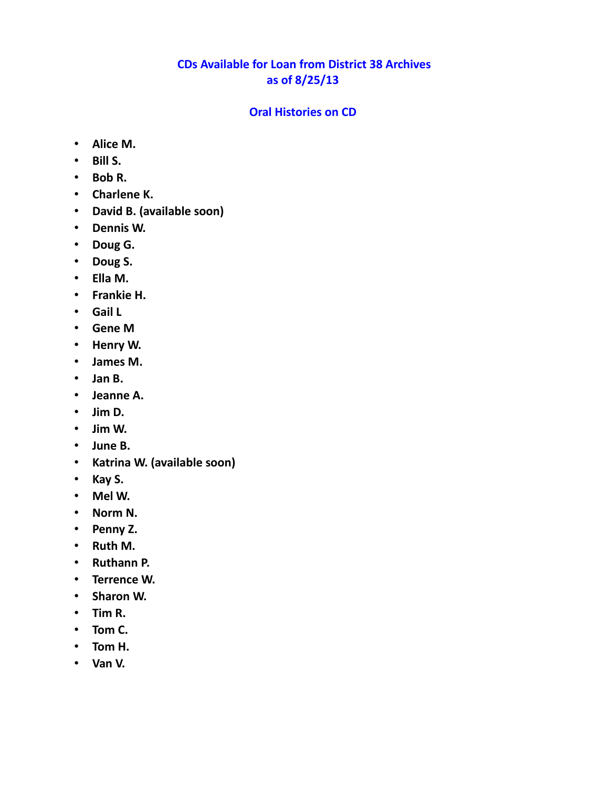## **CDs Available for Loan from District 38 Archives as of 8/25/13**

#### **Oral Histories on CD**

- **Alice M.**
- **Bill S.**
- **Bob R.**
- **Charlene K.**
- **David B. (available soon)**
- **Dennis W.**
- **Doug G.**
- **Doug S.**
- **Ella M.**
- **Frankie H.**
- **Gail L**
- **Gene M**
- **Henry W.**
- **James M.**
- **Jan B.**
- **Jeanne A.**
- **Jim D.**
- **Jim W.**
- **June B.**
- **Katrina W. (available soon)**
- **Kay S.**
- **Mel W.**
- **Norm N.**
- **Penny Z.**
- **Ruth M.**
- **Ruthann P.**
- **Terrence W.**
- **Sharon W.**
- **Tim R.**
- **Tom C.**
- **Tom H.**
- **Van V.**